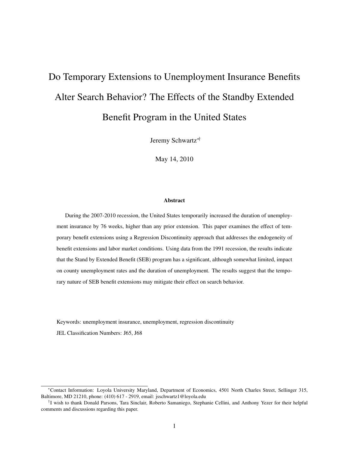# Do Temporary Extensions to Unemployment Insurance Benefits Alter Search Behavior? The Effects of the Standby Extended Benefit Program in the United States

Jeremy Schwartz∗†

May 14, 2010

#### Abstract

During the 2007-2010 recession, the United States temporarily increased the duration of unemployment insurance by 76 weeks, higher than any prior extension. This paper examines the effect of temporary benefit extensions using a Regression Discontinuity approach that addresses the endogeneity of benefit extensions and labor market conditions. Using data from the 1991 recession, the results indicate that the Stand by Extended Benefit (SEB) program has a significant, although somewhat limited, impact on county unemployment rates and the duration of unemployment. The results suggest that the temporary nature of SEB benefit extensions may mitigate their effect on search behavior.

Keywords: unemployment insurance, unemployment, regression discontinuity

JEL Classification Numbers: J65, J68

<sup>∗</sup>Contact Information: Loyola University Maryland, Department of Economics, 4501 North Charles Street, Sellinger 315, Baltimore, MD 21210, phone: (410) 617 - 2919, email: jsschwartz1@loyola.edu

<sup>†</sup> I wish to thank Donald Parsons, Tara Sinclair, Roberto Samaniego, Stephanie Cellini, and Anthony Yezer for their helpful comments and discussions regarding this paper.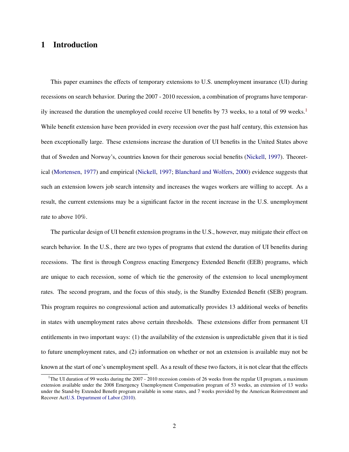# 1 Introduction

This paper examines the effects of temporary extensions to U.S. unemployment insurance (UI) during recessions on search behavior. During the 2007 - 2010 recession, a combination of programs have temporar-ily increased the duration the unemployed could receive UI benefits by 73 weeks, to a total of 99 weeks.<sup>[1](#page-1-0)</sup> While benefit extension have been provided in every recession over the past half century, this extension has been exceptionally large. These extensions increase the duration of UI benefits in the United States above that of Sweden and Norway's, countries known for their generous social benefits [\(Nickell,](#page-35-0) [1997\)](#page-35-0). Theoretical [\(Mortensen,](#page-35-1) [1977\)](#page-35-1) and empirical [\(Nickell,](#page-35-0) [1997;](#page-35-0) [Blanchard and Wolfers,](#page-34-0) [2000\)](#page-34-0) evidence suggests that such an extension lowers job search intensity and increases the wages workers are willing to accept. As a result, the current extensions may be a significant factor in the recent increase in the U.S. unemployment rate to above 10%.

The particular design of UI benefit extension programs in the U.S., however, may mitigate their effect on search behavior. In the U.S., there are two types of programs that extend the duration of UI benefits during recessions. The first is through Congress enacting Emergency Extended Benefit (EEB) programs, which are unique to each recession, some of which tie the generosity of the extension to local unemployment rates. The second program, and the focus of this study, is the Standby Extended Benefit (SEB) program. This program requires no congressional action and automatically provides 13 additional weeks of benefits in states with unemployment rates above certain thresholds. These extensions differ from permanent UI entitlements in two important ways: (1) the availability of the extension is unpredictable given that it is tied to future unemployment rates, and (2) information on whether or not an extension is available may not be known at the start of one's unemployment spell. As a result of these two factors, it is not clear that the effects

<span id="page-1-0"></span><sup>&</sup>lt;sup>1</sup>The UI duration of 99 weeks during the 2007 - 2010 recession consists of 26 weeks from the regular UI program, a maximum extension available under the 2008 Emergency Unemployment Compensation program of 53 weeks, an extension of 13 weeks under the Stand-by Extended Benefit program available in some states, and 7 weeks provided by the American Reinvestment and Recover Ac[tU.S. Department of Labor](#page-36-0) [\(2010\)](#page-36-0).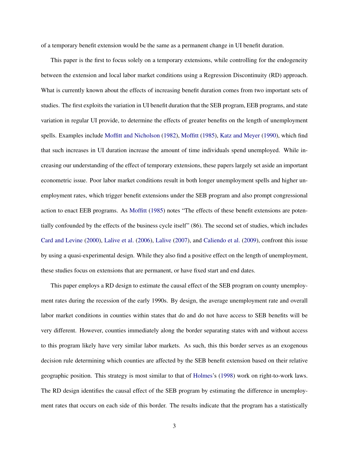of a temporary benefit extension would be the same as a permanent change in UI benefit duration.

This paper is the first to focus solely on a temporary extensions, while controlling for the endogeneity between the extension and local labor market conditions using a Regression Discontinuity (RD) approach. What is currently known about the effects of increasing benefit duration comes from two important sets of studies. The first exploits the variation in UI benefit duration that the SEB program, EEB programs, and state variation in regular UI provide, to determine the effects of greater benefits on the length of unemployment spells. Examples include [Moffitt and Nicholson](#page-35-2) [\(1982\)](#page-35-2), [Moffitt](#page-35-3) [\(1985\)](#page-35-3), [Katz and Meyer](#page-35-4) [\(1990\)](#page-35-4), which find that such increases in UI duration increase the amount of time individuals spend unemployed. While increasing our understanding of the effect of temporary extensions, these papers largely set aside an important econometric issue. Poor labor market conditions result in both longer unemployment spells and higher unemployment rates, which trigger benefit extensions under the SEB program and also prompt congressional action to enact EEB programs. As [Moffitt](#page-35-3) [\(1985\)](#page-35-3) notes "The effects of these benefit extensions are potentially confounded by the effects of the business cycle itself" (86). The second set of studies, which includes [Card and Levine](#page-34-1) [\(2000\)](#page-34-1), [Lalive et al.](#page-35-5) [\(2006\)](#page-35-5), [Lalive](#page-35-6) [\(2007\)](#page-35-6), and [Caliendo et al.](#page-34-2) [\(2009\)](#page-34-2), confront this issue by using a quasi-experimental design. While they also find a positive effect on the length of unemployment, these studies focus on extensions that are permanent, or have fixed start and end dates.

This paper employs a RD design to estimate the causal effect of the SEB program on county unemployment rates during the recession of the early 1990s. By design, the average unemployment rate and overall labor market conditions in counties within states that do and do not have access to SEB benefits will be very different. However, counties immediately along the border separating states with and without access to this program likely have very similar labor markets. As such, this this border serves as an exogenous decision rule determining which counties are affected by the SEB benefit extension based on their relative geographic position. This strategy is most similar to that of [Holmes'](#page-34-3)s [\(1998\)](#page-34-3) work on right-to-work laws. The RD design identifies the causal effect of the SEB program by estimating the difference in unemployment rates that occurs on each side of this border. The results indicate that the program has a statistically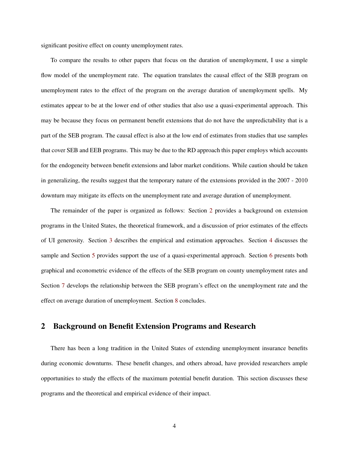significant positive effect on county unemployment rates.

To compare the results to other papers that focus on the duration of unemployment, I use a simple flow model of the unemployment rate. The equation translates the causal effect of the SEB program on unemployment rates to the effect of the program on the average duration of unemployment spells. My estimates appear to be at the lower end of other studies that also use a quasi-experimental approach. This may be because they focus on permanent benefit extensions that do not have the unpredictability that is a part of the SEB program. The causal effect is also at the low end of estimates from studies that use samples that cover SEB and EEB programs. This may be due to the RD approach this paper employs which accounts for the endogeneity between benefit extensions and labor market conditions. While caution should be taken in generalizing, the results suggest that the temporary nature of the extensions provided in the 2007 - 2010 downturn may mitigate its effects on the unemployment rate and average duration of unemployment.

The remainder of the paper is organized as follows: Section [2](#page-3-0) provides a background on extension programs in the United States, the theoretical framework, and a discussion of prior estimates of the effects of UI generosity. Section [3](#page-13-0) describes the empirical and estimation approaches. Section [4](#page-19-0) discusses the sample and Section [5](#page-23-0) provides support the use of a quasi-experimental approach. Section [6](#page-24-0) presents both graphical and econometric evidence of the effects of the SEB program on county unemployment rates and Section [7](#page-30-0) develops the relationship between the SEB program's effect on the unemployment rate and the effect on average duration of unemployment. Section [8](#page-32-0) concludes.

## <span id="page-3-0"></span>2 Background on Benefit Extension Programs and Research

There has been a long tradition in the United States of extending unemployment insurance benefits during economic downturns. These benefit changes, and others abroad, have provided researchers ample opportunities to study the effects of the maximum potential benefit duration. This section discusses these programs and the theoretical and empirical evidence of their impact.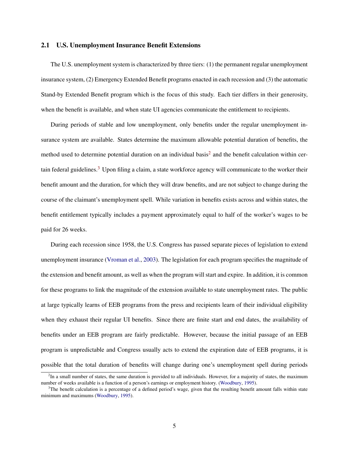## 2.1 U.S. Unemployment Insurance Benefit Extensions

The U.S. unemployment system is characterized by three tiers: (1) the permanent regular unemployment insurance system, (2) Emergency Extended Benefit programs enacted in each recession and (3) the automatic Stand-by Extended Benefit program which is the focus of this study. Each tier differs in their generosity, when the benefit is available, and when state UI agencies communicate the entitlement to recipients.

During periods of stable and low unemployment, only benefits under the regular unemployment insurance system are available. States determine the maximum allowable potential duration of benefits, the method used to determine potential duration on an individual basis<sup>[2](#page-4-0)</sup> and the benefit calculation within cer-tain federal guidelines.<sup>[3](#page-4-1)</sup> Upon filing a claim, a state workforce agency will communicate to the worker their benefit amount and the duration, for which they will draw benefits, and are not subject to change during the course of the claimant's unemployment spell. While variation in benefits exists across and within states, the benefit entitlement typically includes a payment approximately equal to half of the worker's wages to be paid for 26 weeks.

During each recession since 1958, the U.S. Congress has passed separate pieces of legislation to extend unemployment insurance [\(Vroman et al.,](#page-36-1) [2003\)](#page-36-1). The legislation for each program specifies the magnitude of the extension and benefit amount, as well as when the program will start and expire. In addition, it is common for these programs to link the magnitude of the extension available to state unemployment rates. The public at large typically learns of EEB programs from the press and recipients learn of their individual eligibility when they exhaust their regular UI benefits. Since there are finite start and end dates, the availability of benefits under an EEB program are fairly predictable. However, because the initial passage of an EEB program is unpredictable and Congress usually acts to extend the expiration date of EEB programs, it is possible that the total duration of benefits will change during one's unemployment spell during periods

<span id="page-4-0"></span> ${}^{2}$ In a small number of states, the same duration is provided to all individuals. However, for a majority of states, the maximum number of weeks available is a function of a person's earnings or employment history. [\(Woodbury,](#page-37-0) [1995\)](#page-37-0).

<span id="page-4-1"></span> $3$ The benefit calculation is a percentage of a defined period's wage, given that the resulting benefit amount falls within state minimum and maximums [\(Woodbury,](#page-37-0) [1995\)](#page-37-0).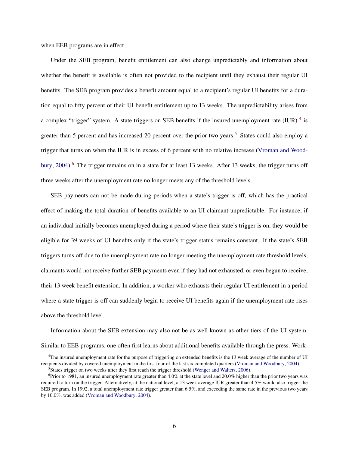when EEB programs are in effect.

Under the SEB program, benefit entitlement can also change unpredictably and information about whether the benefit is available is often not provided to the recipient until they exhaust their regular UI benefits. The SEB program provides a benefit amount equal to a recipient's regular UI benefits for a duration equal to fifty percent of their UI benefit entitlement up to 13 weeks. The unpredictability arises from a complex "trigger" system. A state triggers on SEB benefits if the insured unemployment rate (IUR)  $^{4}$  $^{4}$  $^{4}$  is greater than [5](#page-5-1) percent and has increased 20 percent over the prior two years.<sup>5</sup> States could also employ a trigger that turns on when the IUR is in excess of 6 percent with no relative increase [\(Vroman and Wood](#page-36-2)[bury,](#page-36-2) [2004\)](#page-36-2).[6](#page-5-2) The trigger remains on in a state for at least 13 weeks. After 13 weeks, the trigger turns off three weeks after the unemployment rate no longer meets any of the threshold levels.

SEB payments can not be made during periods when a state's trigger is off, which has the practical effect of making the total duration of benefits available to an UI claimant unpredictable. For instance, if an individual initially becomes unemployed during a period where their state's trigger is on, they would be eligible for 39 weeks of UI benefits only if the state's trigger status remains constant. If the state's SEB triggers turns off due to the unemployment rate no longer meeting the unemployment rate threshold levels, claimants would not receive further SEB payments even if they had not exhausted, or even begun to receive, their 13 week benefit extension. In addition, a worker who exhausts their regular UI entitlement in a period where a state trigger is off can suddenly begin to receive UI benefits again if the unemployment rate rises above the threshold level.

Information about the SEB extension may also not be as well known as other tiers of the UI system. Similar to EEB programs, one often first learns about additional benefits available through the press. Work-

<span id="page-5-0"></span><sup>4</sup>The insured unemployment rate for the purpose of triggering on extended benefits is the 13 week average of the number of UI recipients divided by covered unemployment in the first four of the last six completed quarters [\(Vroman and Woodbury,](#page-36-2) [2004\)](#page-36-2).

<span id="page-5-2"></span><span id="page-5-1"></span><sup>&</sup>lt;sup>5</sup>States trigger on two weeks after they first reach the trigger threshold [\(Wenger and Walters,](#page-36-3) [2006\)](#page-36-3).

<sup>&</sup>lt;sup>6</sup>Prior to 1981, an insured unemployment rate greater than 4.0% at the state level and 20.0% higher than the prior two years was required to turn on the trigger. Alternatively, at the national level, a 13 week average IUR greater than 4.5% would also trigger the SEB program. In 1992, a total unemployment rate trigger greater than 6.5%, and exceeding the same rate in the previous two years by 10.0%, was added [\(Vroman and Woodbury,](#page-36-2) [2004\)](#page-36-2).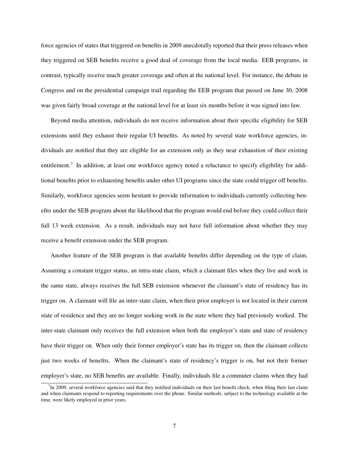force agencies of states that triggered on benefits in 2009 anecdotally reported that their press releases when they triggered on SEB benefits receive a good deal of coverage from the local media. EEB programs, in contrast, typically receive much greater coverage and often at the national level. For instance, the debate in Congress and on the presidential campaign trail regarding the EEB program that passed on June 30, 2008 was given fairly broad coverage at the national level for at least six months before it was signed into law.

Beyond media attention, individuals do not receive information about their specific eligibility for SEB extensions until they exhaust their regular UI benefits. As noted by several state workforce agencies, individuals are notified that they are eligible for an extension only as they near exhaustion of their existing entitlement.<sup>[7](#page-6-0)</sup> In addition, at least one workforce agency noted a reluctance to specify eligibility for additional benefits prior to exhausting benefits under other UI programs since the state could trigger off benefits. Similarly, workforce agencies seem hesitant to provide information to individuals currently collecting benefits under the SEB program about the likelihood that the program would end before they could collect their full 13 week extension. As a result, individuals may not have full information about whether they may receive a benefit extension under the SEB program.

Another feature of the SEB program is that available benefits differ depending on the type of claim. Assuming a constant trigger status, an intra-state claim, which a claimant files when they live and work in the same state, always receives the full SEB extension whenever the claimant's state of residency has its trigger on. A claimant will file an inter-state claim, when their prior employer is not located in their current state of residence and they are no longer seeking work in the state where they had previously worked. The inter-state claimant only receives the full extension when both the employer's state and state of residency have their trigger on. When only their former employer's state has its trigger on, then the claimant collects just two weeks of benefits. When the claimant's state of residency's trigger is on, but not their former employer's state, no SEB benefits are available. Finally, individuals file a commuter claims when they had

<span id="page-6-0"></span> $<sup>7</sup>$  In 2009, several workforce agencies said that they notified individuals on their last benefit check, when filing their last claim</sup> and when claimants respond to reporting requirements over the phone. Similar methods, subject to the technology available at the time, were likely employed in prior years.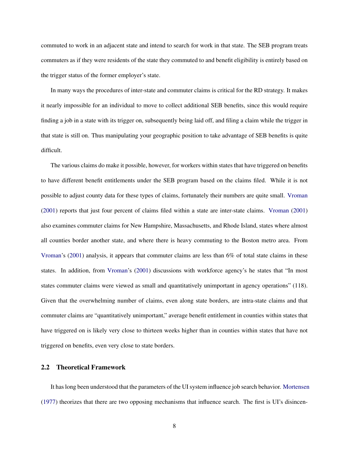commuted to work in an adjacent state and intend to search for work in that state. The SEB program treats commuters as if they were residents of the state they commuted to and benefit eligibility is entirely based on the trigger status of the former employer's state.

In many ways the procedures of inter-state and commuter claims is critical for the RD strategy. It makes it nearly impossible for an individual to move to collect additional SEB benefits, since this would require finding a job in a state with its trigger on, subsequently being laid off, and filing a claim while the trigger in that state is still on. Thus manipulating your geographic position to take advantage of SEB benefits is quite difficult.

The various claims do make it possible, however, for workers within states that have triggered on benefits to have different benefit entitlements under the SEB program based on the claims filed. While it is not possible to adjust county data for these types of claims, fortunately their numbers are quite small. [Vroman](#page-36-4) [\(2001\)](#page-36-4) reports that just four percent of claims filed within a state are inter-state claims. [Vroman](#page-36-4) [\(2001\)](#page-36-4) also examines commuter claims for New Hampshire, Massachusetts, and Rhode Island, states where almost all counties border another state, and where there is heavy commuting to the Boston metro area. From [Vroman'](#page-36-4)s [\(2001\)](#page-36-4) analysis, it appears that commuter claims are less than 6% of total state claims in these states. In addition, from [Vroman'](#page-36-4)s [\(2001\)](#page-36-4) discussions with workforce agency's he states that "In most states commuter claims were viewed as small and quantitatively unimportant in agency operations" (118). Given that the overwhelming number of claims, even along state borders, are intra-state claims and that commuter claims are "quantitatively unimportant," average benefit entitlement in counties within states that have triggered on is likely very close to thirteen weeks higher than in counties within states that have not triggered on benefits, even very close to state borders.

## 2.2 Theoretical Framework

It has long been understood that the parameters of the UI system influence job search behavior. [Mortensen](#page-35-1) [\(1977\)](#page-35-1) theorizes that there are two opposing mechanisms that influence search. The first is UI's disincen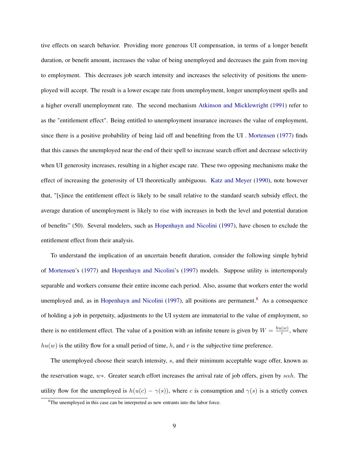tive effects on search behavior. Providing more generous UI compensation, in terms of a longer benefit duration, or benefit amount, increases the value of being unemployed and decreases the gain from moving to employment. This decreases job search intensity and increases the selectivity of positions the unemployed will accept. The result is a lower escape rate from unemployment, longer unemployment spells and a higher overall unemployment rate. The second mechanism [Atkinson and Micklewright](#page-34-4) [\(1991\)](#page-34-4) refer to as the "entitlement effect". Being entitled to unemployment insurance increases the value of employment, since there is a positive probability of being laid off and benefiting from the UI . [Mortensen](#page-35-1) [\(1977\)](#page-35-1) finds that this causes the unemployed near the end of their spell to increase search effort and decrease selectivity when UI generosity increases, resulting in a higher escape rate. These two opposing mechanisms make the effect of increasing the generosity of UI theoretically ambiguous. [Katz and Meyer](#page-35-4) [\(1990\)](#page-35-4), note however that, "[s]ince the entitlement effect is likely to be small relative to the standard search subsidy effect, the average duration of unemployment is likely to rise with increases in both the level and potential duration of benefits" (50). Several modelers, such as [Hopenhayn and Nicolini](#page-34-5) [\(1997\)](#page-34-5), have chosen to exclude the entitlement effect from their analysis.

To understand the implication of an uncertain benefit duration, consider the following simple hybrid of [Mortensen'](#page-35-1)s [\(1977\)](#page-35-1) and [Hopenhayn and Nicolini'](#page-34-5)s [\(1997\)](#page-34-5) models. Suppose utility is intertemporaly separable and workers consume their entire income each period. Also, assume that workers enter the world unemployed and, as in [Hopenhayn and Nicolini](#page-34-5) [\(1997\)](#page-34-5), all positions are permanent.<sup>[8](#page-8-0)</sup> As a consequence of holding a job in perpetuity, adjustments to the UI system are immaterial to the value of employment, so there is no entitlement effect. The value of a position with an infinite tenure is given by  $W = \frac{hu(w)}{r}$  $\frac{w}{r}$ , where  $hu(w)$  is the utility flow for a small period of time, h, and r is the subjective time preference.

The unemployed choose their search intensity, s, and their minimum acceptable wage offer, known as the reservation wage,  $w*$ . Greater search effort increases the arrival rate of job offers, given by  $s\alpha h$ . The utility flow for the unemployed is  $h(u(c) - \gamma(s))$ , where c is consumption and  $\gamma(s)$  is a strictly convex

<span id="page-8-0"></span> ${}^{8}$ The unemployed in this case can be interpreted as new entrants into the labor force.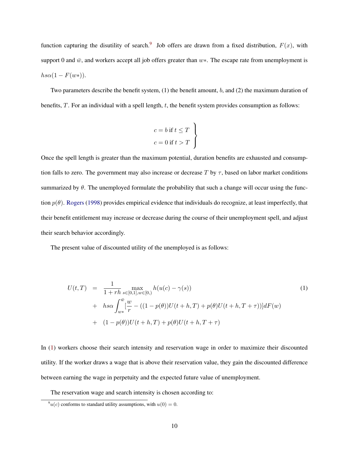function capturing the disutility of search.<sup>[9](#page-9-0)</sup> Job offers are drawn from a fixed distribution,  $F(x)$ , with support 0 and  $\bar{w}$ , and workers accept all job offers greater than  $w*$ . The escape rate from unemployment is  $h s\alpha(1 - F(w*))$ .

Two parameters describe the benefit system,  $(1)$  the benefit amount, b, and  $(2)$  the maximum duration of benefits,  $T$ . For an individual with a spell length,  $t$ , the benefit system provides consumption as follows:

$$
c = b \text{ if } t \leq T
$$
  

$$
c = 0 \text{ if } t > T
$$

Once the spell length is greater than the maximum potential, duration benefits are exhausted and consumption falls to zero. The government may also increase or decrease T by  $\tau$ , based on labor market conditions summarized by  $\theta$ . The unemployed formulate the probability that such a change will occur using the function  $p(\theta)$ . [Rogers](#page-36-5) [\(1998\)](#page-36-5) provides empirical evidence that individuals do recognize, at least imperfectly, that their benefit entitlement may increase or decrease during the course of their unemployment spell, and adjust their search behavior accordingly.

The present value of discounted utility of the unemployed is as follows:

<span id="page-9-1"></span>
$$
U(t,T) = \frac{1}{1+rh} \max_{s \in [0,1], w \in [0,)} h(u(c) - \gamma(s))
$$
  
+  $hs \alpha \int_{w*}^{\bar{w}} \left[ \frac{w}{r} - ((1 - p(\theta))U(t + h, T) + p(\theta)U(t + h, T + \tau)) \right] dF(w)$   
+  $(1 - p(\theta))U(t + h, T) + p(\theta)U(t + h, T + \tau)$  (1)

In [\(1\)](#page-9-1) workers choose their search intensity and reservation wage in order to maximize their discounted utility. If the worker draws a wage that is above their reservation value, they gain the discounted difference between earning the wage in perpetuity and the expected future value of unemployment.

The reservation wage and search intensity is chosen according to:

<span id="page-9-0"></span> $\int u(c)$  conforms to standard utility assumptions, with  $u(0) = 0$ .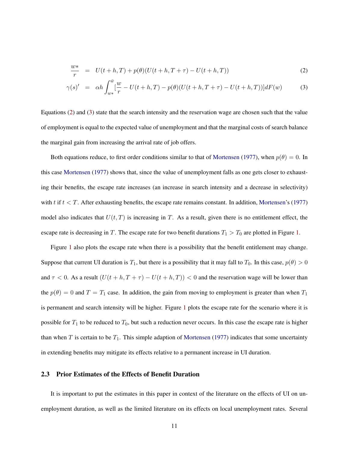$$
\frac{w*}{r} = U(t+h,T) + p(\theta)(U(t+h,T+\tau) - U(t+h,T))
$$
\n(2)

<span id="page-10-0"></span>
$$
\gamma(s)' = \alpha h \int_{w*}^{\bar{w}} \left[ \frac{w}{r} - U(t+h, T) - p(\theta)(U(t+h, T+\tau) - U(t+h, T)) \right] dF(w) \tag{3}
$$

Equations [\(2\)](#page-10-0) and [\(3\)](#page-10-0) state that the search intensity and the reservation wage are chosen such that the value of employment is equal to the expected value of unemployment and that the marginal costs of search balance the marginal gain from increasing the arrival rate of job offers.

Both equations reduce, to first order conditions similar to that of [Mortensen](#page-35-1) [\(1977\)](#page-35-1), when  $p(\theta) = 0$ . In this case [Mortensen](#page-35-1) [\(1977\)](#page-35-1) shows that, since the value of unemployment falls as one gets closer to exhausting their benefits, the escape rate increases (an increase in search intensity and a decrease in selectivity) with  $t$  if  $t < T$ . After exhausting benefits, the escape rate remains constant. In addition, [Mortensen'](#page-35-1)s [\(1977\)](#page-35-1) model also indicates that  $U(t, T)$  is increasing in T. As a result, given there is no entitlement effect, the escape rate is decreasing in T. The escape rate for two benefit durations  $T_1 > T_0$  are plotted in Figure [1.](#page-11-0)

Figure [1](#page-11-0) also plots the escape rate when there is a possibility that the benefit entitlement may change. Suppose that current UI duration is  $T_1$ , but there is a possibility that it may fall to  $T_0$ . In this case,  $p(\theta) > 0$ and  $\tau < 0$ . As a result  $(U(t + h, T + \tau) - U(t + h, T)) < 0$  and the reservation wage will be lower than the  $p(\theta) = 0$  and  $T = T_1$  case. In addition, the gain from moving to employment is greater than when  $T_1$ is permanent and search intensity will be higher. Figure [1](#page-11-0) plots the escape rate for the scenario where it is possible for  $T_1$  to be reduced to  $T_0$ , but such a reduction never occurs. In this case the escape rate is higher than when T is certain to be  $T_1$ . This simple adaption of [Mortensen](#page-35-1) [\(1977\)](#page-35-1) indicates that some uncertainty in extending benefits may mitigate its effects relative to a permanent increase in UI duration.

## 2.3 Prior Estimates of the Effects of Benefit Duration

It is important to put the estimates in this paper in context of the literature on the effects of UI on unemployment duration, as well as the limited literature on its effects on local unemployment rates. Several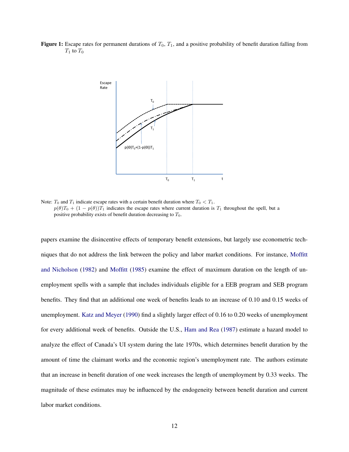<span id="page-11-0"></span>Figure 1: Escape rates for permanent durations of  $T_0$ ,  $T_1$ , and a positive probability of benefit duration falling from  $T_1$  to  $T_0$ 



Note:  $T_0$  and  $T_1$  indicate escape rates with a certain benefit duration where  $T_0 < T_1$ .  $p(\theta)T_0 + (1 - p(\theta))T_1$  indicates the escape rates where current duration is  $T_1$  throughout the spell, but a positive probability exists of benefit duration decreasing to  $T_0$ .

papers examine the disincentive effects of temporary benefit extensions, but largely use econometric techniques that do not address the link between the policy and labor market conditions. For instance, [Moffitt](#page-35-2) [and Nicholson](#page-35-2) [\(1982\)](#page-35-2) and [Moffitt](#page-35-3) [\(1985\)](#page-35-3) examine the effect of maximum duration on the length of unemployment spells with a sample that includes individuals eligible for a EEB program and SEB program benefits. They find that an additional one week of benefits leads to an increase of 0.10 and 0.15 weeks of unemployment. [Katz and Meyer](#page-35-4) [\(1990\)](#page-35-4) find a slightly larger effect of 0.16 to 0.20 weeks of unemployment for every additional week of benefits. Outside the U.S., [Ham and Rea](#page-34-6) [\(1987\)](#page-34-6) estimate a hazard model to analyze the effect of Canada's UI system during the late 1970s, which determines benefit duration by the amount of time the claimant works and the economic region's unemployment rate. The authors estimate that an increase in benefit duration of one week increases the length of unemployment by 0.33 weeks. The magnitude of these estimates may be influenced by the endogeneity between benefit duration and current labor market conditions.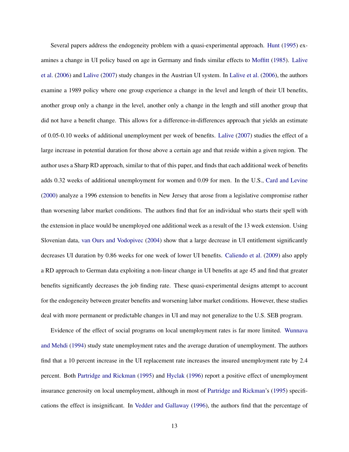Several papers address the endogeneity problem with a quasi-experimental approach. [Hunt](#page-34-7) [\(1995\)](#page-34-7) examines a change in UI policy based on age in Germany and finds similar effects to [Moffitt](#page-35-3) [\(1985\)](#page-35-3). [Lalive](#page-35-5) [et al.](#page-35-5) [\(2006\)](#page-35-5) and [Lalive](#page-35-6) [\(2007\)](#page-35-6) study changes in the Austrian UI system. In [Lalive et al.](#page-35-5) [\(2006\)](#page-35-5), the authors examine a 1989 policy where one group experience a change in the level and length of their UI benefits, another group only a change in the level, another only a change in the length and still another group that did not have a benefit change. This allows for a difference-in-differences approach that yields an estimate of 0.05-0.10 weeks of additional unemployment per week of benefits. [Lalive](#page-35-6) [\(2007\)](#page-35-6) studies the effect of a large increase in potential duration for those above a certain age and that reside within a given region. The author uses a Sharp RD approach, similar to that of this paper, and finds that each additional week of benefits adds 0.32 weeks of additional unemployment for women and 0.09 for men. In the U.S., [Card and Levine](#page-34-1) [\(2000\)](#page-34-1) analyze a 1996 extension to benefits in New Jersey that arose from a legislative compromise rather than worsening labor market conditions. The authors find that for an individual who starts their spell with the extension in place would be unemployed one additional week as a result of the 13 week extension. Using Slovenian data, [van Ours and Vodopivec](#page-36-6) [\(2004\)](#page-36-6) show that a large decrease in UI entitlement significantly decreases UI duration by 0.86 weeks for one week of lower UI benefits. [Caliendo et al.](#page-34-2) [\(2009\)](#page-34-2) also apply a RD approach to German data exploiting a non-linear change in UI benefits at age 45 and find that greater benefits significantly decreases the job finding rate. These quasi-experimental designs attempt to account for the endogeneity between greater benefits and worsening labor market conditions. However, these studies deal with more permanent or predictable changes in UI and may not generalize to the U.S. SEB program.

Evidence of the effect of social programs on local unemployment rates is far more limited. [Wunnava](#page-37-1) [and Mehdi](#page-37-1) [\(1994\)](#page-37-1) study state unemployment rates and the average duration of unemployment. The authors find that a 10 percent increase in the UI replacement rate increases the insured unemployment rate by 2.4 percent. Both [Partridge and Rickman](#page-36-7) [\(1995\)](#page-36-7) and [Hyclak](#page-34-8) [\(1996\)](#page-34-8) report a positive effect of unemployment insurance generosity on local unemployment, although in most of [Partridge and Rickman'](#page-36-7)s [\(1995\)](#page-36-7) specifications the effect is insignificant. In [Vedder and Gallaway](#page-36-8) [\(1996\)](#page-36-8), the authors find that the percentage of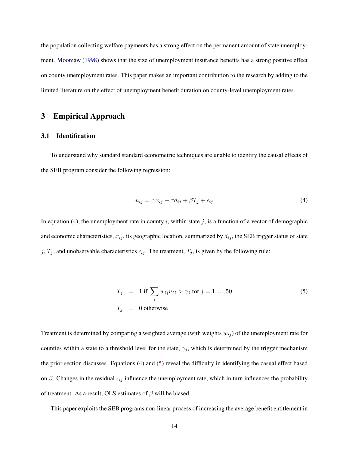the population collecting welfare payments has a strong effect on the permanent amount of state unemployment. [Moomaw](#page-35-7) [\(1998\)](#page-35-7) shows that the size of unemployment insurance benefits has a strong positive effect on county unemployment rates. This paper makes an important contribution to the research by adding to the limited literature on the effect of unemployment benefit duration on county-level unemployment rates.

# <span id="page-13-0"></span>3 Empirical Approach

## <span id="page-13-3"></span>3.1 Identification

<span id="page-13-1"></span>To understand why standard standard econometric techniques are unable to identify the causal effects of the SEB program consider the following regression:

$$
u_{ij} = \alpha x_{ij} + \tau d_{ij} + \beta T_j + \epsilon_{ij}
$$
\n<sup>(4)</sup>

In equation [\(4\)](#page-13-1), the unemployment rate in county i, within state j, is a function of a vector of demographic and economic characteristics,  $x_{ij}$ , its geographic location, summarized by  $d_{ij}$ , the SEB trigger status of state j,  $T_j$ , and unobservable characteristics  $\epsilon_{ij}$ . The treatment,  $T_j$ , is given by the following rule:

<span id="page-13-2"></span>
$$
T_j = 1 \text{ if } \sum_i w_{ij} u_{ij} > \gamma_j \text{ for } j = 1, ..., 50
$$
  
\n
$$
T_j = 0 \text{ otherwise}
$$
\n(5)

Treatment is determined by comparing a weighted average (with weights  $w_{ij}$ ) of the unemployment rate for counties within a state to a threshold level for the state,  $\gamma_j$ , which is determined by the trigger mechanism the prior section discusses. Equations [\(4\)](#page-13-1) and [\(5\)](#page-13-2) reveal the difficulty in identifying the casual effect based on  $\beta$ . Changes in the residual  $\epsilon_{ij}$  influence the unemployment rate, which in turn influences the probability of treatment. As a result, OLS estimates of  $\beta$  will be biased.

This paper exploits the SEB programs non-linear process of increasing the average benefit entitlement in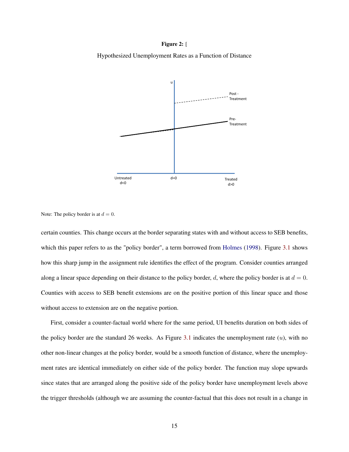#### Figure 2: [

<span id="page-14-0"></span>Hypothesized Unemployment Rates as a Function of Distance



Note: The policy border is at  $d = 0$ .

certain counties. This change occurs at the border separating states with and without access to SEB benefits, which this paper refers to as the "policy border", a term borrowed from [Holmes](#page-34-3) [\(1998\)](#page-34-3). Figure [3.1](#page-14-0) shows how this sharp jump in the assignment rule identifies the effect of the program. Consider counties arranged along a linear space depending on their distance to the policy border, d, where the policy border is at  $d = 0$ . Counties with access to SEB benefit extensions are on the positive portion of this linear space and those without access to extension are on the negative portion.

First, consider a counter-factual world where for the same period, UI benefits duration on both sides of the policy border are the standard 26 weeks. As Figure [3.1](#page-14-0) indicates the unemployment rate  $(u)$ , with no other non-linear changes at the policy border, would be a smooth function of distance, where the unemployment rates are identical immediately on either side of the policy border. The function may slope upwards since states that are arranged along the positive side of the policy border have unemployment levels above the trigger thresholds (although we are assuming the counter-factual that this does not result in a change in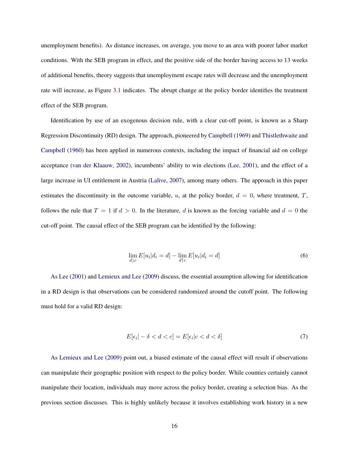unemployment benefits). As distance increases, on average, you move to an area with poorer labor market conditions. With the SEB program in effect, and the positive side of the border having access to 13 weeks of additional benefits, theory suggests that unemployment escape rates will decrease and the unemployment rate will increase, as Figure [3.1](#page-14-0) indicates. The abrupt change at the policy border identifies the treatment effect of the SEB program.

Identification by use of an exogenous decision rule, with a clear cut-off point, is known as a Sharp Regression Discontinuity (RD) design. The approach, pioneered by [Campbell](#page-34-9) [\(1969\)](#page-34-9) and [Thistlethwaite and](#page-36-9) [Campbell](#page-36-9) [\(1960\)](#page-36-9) has been applied in numerous contexts, including the impact of financial aid on college acceptance [\(van der Klaauw,](#page-36-10) [2002\)](#page-36-10), incumbents' ability to win elections [\(Lee,](#page-35-8) [2001\)](#page-35-8), and the effect of a large increase in UI entitlement in Austria [\(Lalive,](#page-35-6) [2007\)](#page-35-6), among many others. The approach in this paper estimates the discontinuity in the outcome variable, u, at the policy border,  $d = 0$ , where treatment, T, follows the rule that  $T = 1$  if  $d > 0$ . In the literature, d is known as the forcing variable and  $d = 0$  the cut-off point. The causal effect of the SEB program can be identified by the following:

$$
\lim_{d \downarrow c} E[u_i|d_i = d] - \lim_{d \uparrow c} E[u_i|d_i = d] \tag{6}
$$

<span id="page-15-0"></span>As [Lee](#page-35-8) [\(2001\)](#page-35-8) and [Lemieux and Lee](#page-35-9) [\(2009\)](#page-35-9) discuss, the essential assumption allowing for identification in a RD design is that observations can be considered randomized around the cutoff point. The following must hold for a valid RD design:

$$
E[\epsilon_i| - \delta < d < c] = E[\epsilon_i|c < d < \delta] \tag{7}
$$

As [Lemieux and Lee](#page-35-9) [\(2009\)](#page-35-9) point out, a biased estimate of the causal effect will result if observations can manipulate their geographic position with respect to the policy border. While counties certainly cannot manipulate their location, individuals may move across the policy border, creating a selection bias. As the previous section discusses. This is highly unlikely because it involves establishing work history in a new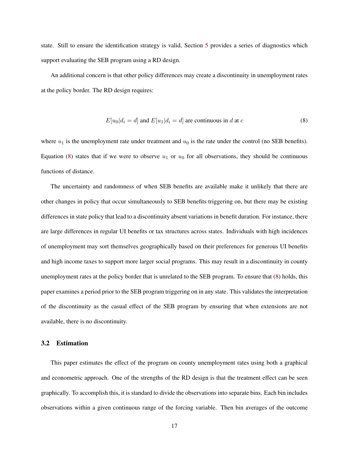state. Still to ensure the identification strategy is valid, Section [5](#page-23-0) provides a series of diagnostics which support evaluating the SEB program using a RD design.

<span id="page-16-0"></span>An additional concern is that other policy differences may create a discontinuity in unemployment rates at the policy border. The RD design requires:

$$
E[u_0|d_i = d] \text{ and } E[u_1|d_i = d] \text{ are continuous in } d \text{ at } c
$$
 (8)

where  $u_1$  is the unemployment rate under treatment and  $u_0$  is the rate under the control (no SEB benefits). Equation [\(8\)](#page-16-0) states that if we were to observe  $u_1$  or  $u_0$  for all observations, they should be continuous functions of distance.

The uncertainty and randomness of when SEB benefits are available make it unlikely that there are other changes in policy that occur simultaneously to SEB benefits triggering on, but there may be existing differences in state policy that lead to a discontinuity absent variations in benefit duration. For instance, there are large differences in regular UI benefits or tax structures across states. Individuals with high incidences of unemployment may sort themselves geographically based on their preferences for generous UI benefits and high income taxes to support more larger social programs. This may result in a discontinuity in county unemployment rates at the policy border that is unrelated to the SEB program. To ensure that [\(8\)](#page-16-0) holds, this paper examines a period prior to the SEB program triggering on in any state. This validates the interpretation of the discontinuity as the casual effect of the SEB program by ensuring that when extensions are not available, there is no discontinuity.

#### 3.2 Estimation

This paper estimates the effect of the program on county unemployment rates using both a graphical and econometric approach. One of the strengths of the RD design is that the treatment effect can be seen graphically. To accomplish this, it is standard to divide the observations into separate bins. Each bin includes observations within a given continuous range of the forcing variable. Then bin averages of the outcome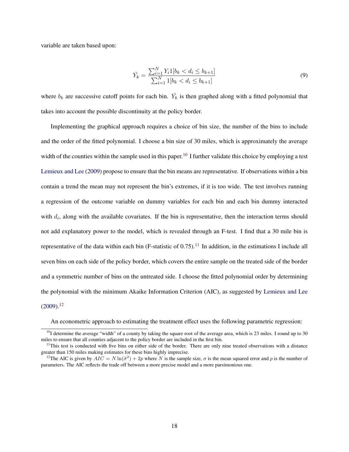variable are taken based upon:

$$
\bar{Y}_k = \frac{\sum_{i=1}^N Y_i \mathbb{1}[b_k < d_i \le b_{k+1}]}{\sum_{i=1}^N \mathbb{1}[b_k < d_i \le b_{k+1}]}\tag{9}
$$

where  $b_k$  are successive cutoff points for each bin.  $\bar{Y}_k$  is then graphed along with a fitted polynomial that takes into account the possible discontinuity at the policy border.

Implementing the graphical approach requires a choice of bin size, the number of the bins to include and the order of the fitted polynomial. I choose a bin size of 30 miles, which is approximately the average width of the counties within the sample used in this paper.<sup>[10](#page-17-0)</sup> I further validate this choice by employing a test [Lemieux and Lee](#page-35-9) [\(2009\)](#page-35-9) propose to ensure that the bin means are representative. If observations within a bin contain a trend the mean may not represent the bin's extremes, if it is too wide. The test involves running a regression of the outcome variable on dummy variables for each bin and each bin dummy interacted with  $d_i$ , along with the available covariates. If the bin is representative, then the interaction terms should not add explanatory power to the model, which is revealed through an F-test. I find that a 30 mile bin is representative of the data within each bin (F-statistic of 0.75).<sup>[11](#page-17-1)</sup> In addition, in the estimations I include all seven bins on each side of the policy border, which covers the entire sample on the treated side of the border and a symmetric number of bins on the untreated side. I choose the fitted polynomial order by determining the polynomial with the minimum Akaike Information Criterion (AIC), as suggested by [Lemieux and Lee](#page-35-9)  $(2009).^{12}$  $(2009).^{12}$  $(2009).^{12}$  $(2009).^{12}$ 

An econometric approach to estimating the treatment effect uses the following parametric regression:

<span id="page-17-0"></span> $^{10}$ I determine the average "width" of a county by taking the square root of the average area, which is 23 miles. I round up to 30 miles to ensure that all counties adjacent to the policy border are included in the first bin.

<span id="page-17-1"></span> $11$ This test is conducted with five bins on either side of the border. There are only nine treated observations with a distance greater than 150 miles making estimates for these bins highly imprecise.

<span id="page-17-2"></span><sup>&</sup>lt;sup>12</sup>The AIC is given by  $AIC = N \ln(\hat{\sigma}^2) + 2p$  where N is the sample size,  $\sigma$  is the mean squared error and p is the number of parameters. The AIC reflects the trade off between a more precise model and a more parsimonious one.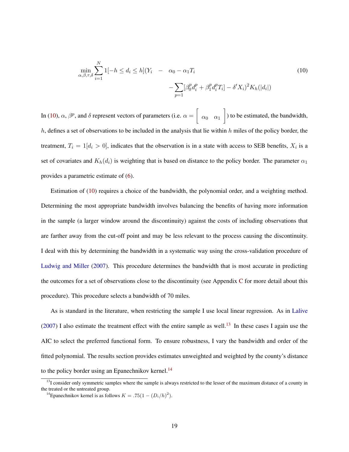<span id="page-18-0"></span>
$$
\min_{\alpha,\beta,\tau,\delta} \sum_{i=1}^{N} 1[-h \le d_i \le h](Y_i - \alpha_0 - \alpha_1 T_i -\n\sum_{p=1}^{\infty} [\beta_0^p d_i^p + \beta_1^p d_i^p T_i] - \delta' X_i)^2 K_h(|d_i|)
$$
\n(10)

In [\(10\)](#page-18-0),  $\alpha$ ,  $\beta^p$ , and  $\delta$  represent vectors of parameters (i.e.  $\alpha = \left[ \right]$  $\alpha_0 \alpha_1$  ) to be estimated, the bandwidth, h, defines a set of observations to be included in the analysis that lie within h miles of the policy border, the treatment,  $T_i = 1[d_i > 0]$ , indicates that the observation is in a state with access to SEB benefits,  $X_i$  is a set of covariates and  $K_h(d_i)$  is weighting that is based on distance to the policy border. The parameter  $\alpha_1$ provides a parametric estimate of [\(6\)](#page-15-0).

Estimation of [\(10\)](#page-18-0) requires a choice of the bandwidth, the polynomial order, and a weighting method. Determining the most appropriate bandwidth involves balancing the benefits of having more information in the sample (a larger window around the discontinuity) against the costs of including observations that are farther away from the cut-off point and may be less relevant to the process causing the discontinuity. I deal with this by determining the bandwidth in a systematic way using the cross-validation procedure of [Ludwig and Miller](#page-35-10) [\(2007\)](#page-35-10). This procedure determines the bandwidth that is most accurate in predicting the outcomes for a set of observations close to the discontinuity (see Appendix [C](#page-39-0) for more detail about this procedure). This procedure selects a bandwidth of 70 miles.

As is standard in the literature, when restricting the sample I use local linear regression. As in [Lalive](#page-35-6) [\(2007\)](#page-35-6) I also estimate the treatment effect with the entire sample as well.<sup>[13](#page-18-1)</sup> In these cases I again use the AIC to select the preferred functional form. To ensure robustness, I vary the bandwidth and order of the fitted polynomial. The results section provides estimates unweighted and weighted by the county's distance to the policy border using an Epanechnikov kernel. $^{14}$  $^{14}$  $^{14}$ 

<span id="page-18-1"></span> $13$ I consider only symmetric samples where the sample is always restricted to the lesser of the maximum distance of a county in the treated or the untreated group.

<span id="page-18-2"></span><sup>&</sup>lt;sup>14</sup> Epanechnikov kernel is as follows  $K = .75(1 - (D_i/h)^2)$ .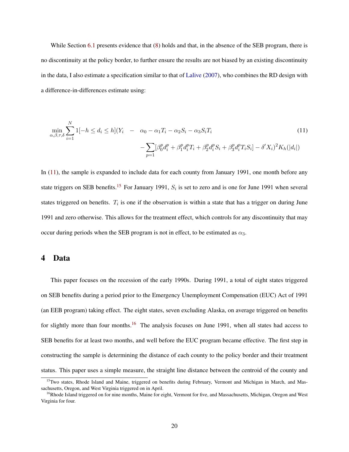While Section [6.1](#page-24-1) presents evidence that  $(8)$  holds and that, in the absence of the SEB program, there is no discontinuity at the policy border, to further ensure the results are not biased by an existing discontinuity in the data, I also estimate a specification similar to that of [Lalive](#page-35-6) [\(2007\)](#page-35-6), who combines the RD design with a difference-in-differences estimate using:

<span id="page-19-1"></span>
$$
\min_{\alpha,\beta,\tau,\delta} \sum_{i=1}^{N} 1[-h \le d_i \le h](Y_i - \alpha_0 - \alpha_1 T_i - \alpha_2 S_i - \alpha_3 S_i T_i -\n\sum_{p=1} [\beta_0^p d_i^p + \beta_1^p d_i^p T_i + \beta_2^p d_i^p S_i + \beta_3^p d_i^p T_i S_i] - \delta' X_i)^2 K_h(|d_i|)
$$
\n(11)

In [\(11\)](#page-19-1), the sample is expanded to include data for each county from January 1991, one month before any state triggers on SEB benefits.<sup>[15](#page-19-2)</sup> For January 1991,  $S_i$  is set to zero and is one for June 1991 when several states triggered on benefits.  $T_i$  is one if the observation is within a state that has a trigger on during June 1991 and zero otherwise. This allows for the treatment effect, which controls for any discontinuity that may occur during periods when the SEB program is not in effect, to be estimated as  $\alpha_3$ .

## <span id="page-19-0"></span>4 Data

This paper focuses on the recession of the early 1990s. During 1991, a total of eight states triggered on SEB benefits during a period prior to the Emergency Unemployment Compensation (EUC) Act of 1991 (an EEB program) taking effect. The eight states, seven excluding Alaska, on average triggered on benefits for slightly more than four months.<sup>[16](#page-19-3)</sup> The analysis focuses on June 1991, when all states had access to SEB benefits for at least two months, and well before the EUC program became effective. The first step in constructing the sample is determining the distance of each county to the policy border and their treatment status. This paper uses a simple measure, the straight line distance between the centroid of the county and

<span id="page-19-2"></span><sup>&</sup>lt;sup>15</sup>Two states, Rhode Island and Maine, triggered on benefits during February, Vermont and Michigan in March, and Massachusetts, Oregon, and West Virginia triggered on in April.

<span id="page-19-3"></span><sup>&</sup>lt;sup>16</sup>Rhode Island triggered on for nine months, Maine for eight, Vermont for five, and Massachusetts, Michigan, Oregon and West Virginia for four.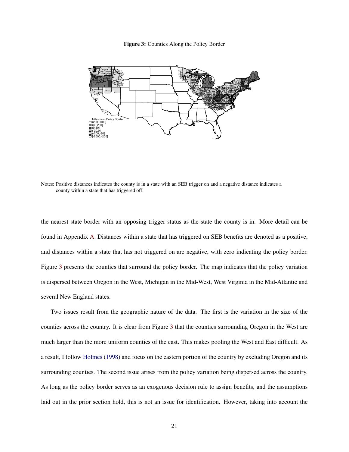

<span id="page-20-0"></span>

Notes: Positive distances indicates the county is in a state with an SEB trigger on and a negative distance indicates a county within a state that has triggered off.

the nearest state border with an opposing trigger status as the state the county is in. More detail can be found in Appendix [A.](#page-38-0) Distances within a state that has triggered on SEB benefits are denoted as a positive, and distances within a state that has not triggered on are negative, with zero indicating the policy border. Figure [3](#page-20-0) presents the counties that surround the policy border. The map indicates that the policy variation is dispersed between Oregon in the West, Michigan in the Mid-West, West Virginia in the Mid-Atlantic and several New England states.

Two issues result from the geographic nature of the data. The first is the variation in the size of the counties across the country. It is clear from Figure [3](#page-20-0) that the counties surrounding Oregon in the West are much larger than the more uniform counties of the east. This makes pooling the West and East difficult. As a result, I follow [Holmes](#page-34-3) [\(1998\)](#page-34-3) and focus on the eastern portion of the country by excluding Oregon and its surrounding counties. The second issue arises from the policy variation being dispersed across the country. As long as the policy border serves as an exogenous decision rule to assign benefits, and the assumptions laid out in the prior section hold, this is not an issue for identification. However, taking into account the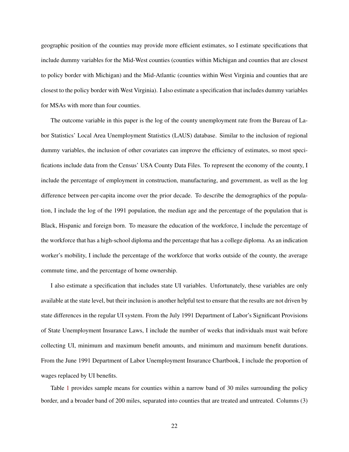geographic position of the counties may provide more efficient estimates, so I estimate specifications that include dummy variables for the Mid-West counties (counties within Michigan and counties that are closest to policy border with Michigan) and the Mid-Atlantic (counties within West Virginia and counties that are closest to the policy border with West Virginia). I also estimate a specification that includes dummy variables for MSAs with more than four counties.

The outcome variable in this paper is the log of the county unemployment rate from the Bureau of Labor Statistics' Local Area Unemployment Statistics (LAUS) database. Similar to the inclusion of regional dummy variables, the inclusion of other covariates can improve the efficiency of estimates, so most specifications include data from the Census' USA County Data Files. To represent the economy of the county, I include the percentage of employment in construction, manufacturing, and government, as well as the log difference between per-capita income over the prior decade. To describe the demographics of the population, I include the log of the 1991 population, the median age and the percentage of the population that is Black, Hispanic and foreign born. To measure the education of the workforce, I include the percentage of the workforce that has a high-school diploma and the percentage that has a college diploma. As an indication worker's mobility, I include the percentage of the workforce that works outside of the county, the average commute time, and the percentage of home ownership.

I also estimate a specification that includes state UI variables. Unfortunately, these variables are only available at the state level, but their inclusion is another helpful test to ensure that the results are not driven by state differences in the regular UI system. From the July 1991 Department of Labor's Significant Provisions of State Unemployment Insurance Laws, I include the number of weeks that individuals must wait before collecting UI, minimum and maximum benefit amounts, and minimum and maximum benefit durations. From the June 1991 Department of Labor Unemployment Insurance Chartbook, I include the proportion of wages replaced by UI benefits.

Table [1](#page-22-0) provides sample means for counties within a narrow band of 30 miles surrounding the policy border, and a broader band of 200 miles, separated into counties that are treated and untreated. Columns (3)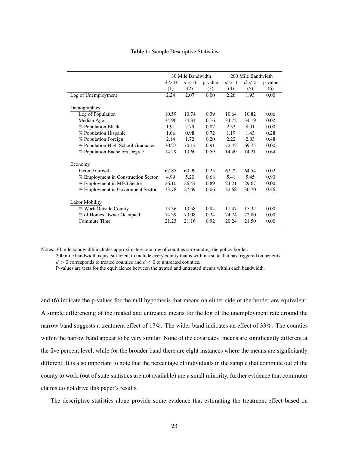|  |  | Table 1: Sample Descriptive Statistics |  |
|--|--|----------------------------------------|--|
|--|--|----------------------------------------|--|

<span id="page-22-0"></span>

|                                     | 30 Mile Bandwidth |       | 200 Mile Bandwidth |       |       |         |
|-------------------------------------|-------------------|-------|--------------------|-------|-------|---------|
|                                     | d>0               | d<0   | p-value            | d>0   | d<0   | p-value |
|                                     | (1)               | (2)   | (3)                | (4)   | (5)   | (6)     |
| Log of Unemployment                 | 2.24              | 2.07  | 0.00               | 2.26  | 1.93  | 0.00    |
| Demographics                        |                   |       |                    |       |       |         |
| Log of Population                   | 10.59             | 10.74 | 0.39               | 10.64 | 10.82 | 0.06    |
| Median Age                          | 34.96             | 34.31 | 0.16               | 34.72 | 34.19 | 0.02    |
| % Population Black                  | 1.91              | 2.79  | 0.07               | 2.33  | 8.01  | 0.00    |
| % Population Hispanic               | 1.06              | 0.98  | 0.72               | 1.19  | 1.43  | 0.28    |
| % Population Foreign                | 2.14              | 1.72  | 0.20               | 2.22  | 2.03  | 0.48    |
| % Population High School Graduates  | 70.27             | 70.12 | 0.91               | 72.42 | 69.75 | 0.00    |
| % Population Bachelors Degree       | 14.29             | 13.69 | 0.59               | 14.49 | 14.21 | 0.64    |
| Economy                             |                   |       |                    |       |       |         |
| Income Growth                       | 62.85             | 60.99 | 0.25               | 62.72 | 64.54 | 0.02    |
| % Employment in Construction Sector | 4.99              | 5.20  | 0.68               | 5.41  | 5.45  | 0.90    |
| % Employment in MFG Sector          | 26.10             | 26.44 | 0.89               | 24.21 | 29.67 | 0.00    |
| % Employment in Government Sector   | 33.78             | 27.69 | 0.06               | 32.68 | 30.70 | 0.46    |
| Labor Mobility                      |                   |       |                    |       |       |         |
| % Work Outside County               | 13.36             | 13.58 | 0.84               | 11.47 | 15.32 | 0.00    |
| % of Homes Owner Occupied           | 74.39             | 73.08 | 0.24               | 74.74 | 72.80 | 0.00    |
| Commute Time                        | 21.23             | 21.16 | 0.92               | 20.24 | 21.50 | 0.00    |

Notes: 30 mile bandwidth includes approximately one row of counties surrounding the policy border.

200 mile bandwidth is just sufficient to include every county that is within a state that has triggered on benefits.

 $d > 0$  corresponds to treated counties and  $d < 0$  to untreated counties.

P-values are tests for the equivalence between the treated and untreated means within each bandwidth.

and (6) indicate the p-values for the null hypothesis that means on either side of the border are equivalent. A simple differencing of the treated and untreated means for the log of the unemployment rate around the narrow band suggests a treatment effect of 17%. The wider band indicates an effect of 33%. The counties within the narrow band appear to be very similar. None of the covariates' means are significantly different at the five percent level, while for the broader band there are eight instances where the means are signficiantly different. It is also important to note that the percentage of individuals in the sample that commute out of the county to work (out of state statistics are not available) are a small minority, further evidence that commuter claims do not drive this paper's results.

The descriptive statistics alone provide some evidence that estimating the treatment effect based on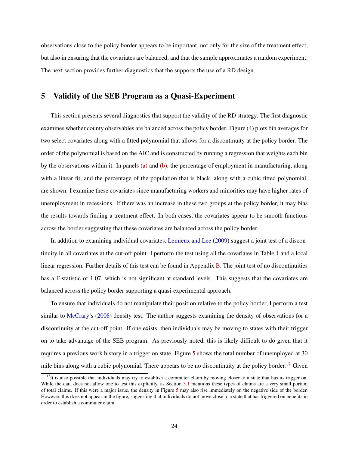observations close to the policy border appears to be important, not only for the size of the treatment effect, but also in ensuring that the covariates are balanced, and that the sample approximates a random experiment. The next section provides further diagnostics that the supports the use of a RD design.

## <span id="page-23-0"></span>5 Validity of the SEB Program as a Quasi-Experiment

This section presents several diagnostics that support the validity of the RD strategy. The first diagnostic examines whether county observables are balanced across the policy border. Figure [\(4\)](#page-24-2) plots bin averages for two select covariates along with a fitted polynomial that allows for a discontinuity at the policy border. The order of the polynomial is based on the AIC and is constructed by running a regression that weights each bin by the observations within it. In panels [\(a\)](#page-24-3) and [\(b\),](#page-24-4) the percentage of employment in manufacturing, along with a linear fit, and the percentage of the population that is black, along with a cubic fitted polynomial, are shown. I examine these covariates since manufacturing workers and minorities may have higher rates of unemployment in recessions. If there was an increase in these two groups at the policy border, it may bias the results towards finding a treatment effect. In both cases, the covariates appear to be smooth functions across the border suggesting that these covariates are balanced across the policy border.

In addition to examining individual covariates, [Lemieux and Lee](#page-35-9) [\(2009\)](#page-35-9) suggest a joint test of a discontinuity in all covariates at the cut-off point. I perform the test using all the covariates in Table [1](#page-22-0) and a local linear regression. Further details of this test can be found in Appendix [B.](#page-38-1) The joint test of no discontinuities has a F-statistic of 1.07, which is not significant at standard levels. This suggests that the covariates are balanced across the policy border supporting a quasi-experimental approach.

To ensure that individuals do not manipulate their position relative to the policy border, I perform a test similar to [McCrary'](#page-35-11)s [\(2008\)](#page-35-11) density test. The author suggests examining the density of observations for a discontinuity at the cut-off point. If one exists, then individuals may be moving to states with their trigger on to take advantage of the SEB program. As previously noted, this is likely difficult to do given that it requires a previous work history in a trigger on state. Figure [5](#page-25-0) shows the total number of unemployed at 30 mile bins along with a cubic polynomial. There appears to be no discontinuity at the policy border.<sup>[17](#page-23-1)</sup> Given

<span id="page-23-1"></span> $17$ It is also possible that individuals may try to establish a commuter claim by moving closer to a state that has its trigger on. While the data does not allow one to test this explicitly, as Section [3.1](#page-13-3) mentions these types of claims are a very small portion of total claims. If this were a major issue, the density in Figure [5](#page-25-0) may also rise immediately on the negative side of the border. However, this does not appear in the figure, suggesting that individuals do not move close to a state that has triggered on benefits in order to establish a commuter claim.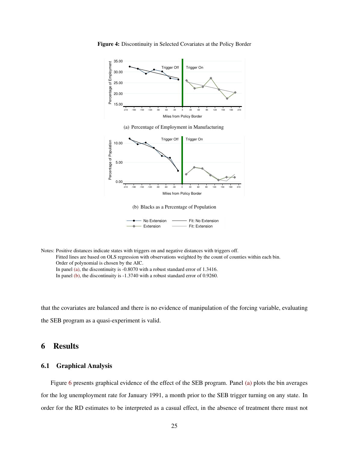<span id="page-24-4"></span><span id="page-24-3"></span>

Figure 4: Discontinuity in Selected Covariates at the Policy Border

<span id="page-24-2"></span>Notes: Positive distances indicate states with triggers on and negative distances with triggers off. Fitted lines are based on OLS regression with observations weighted by the count of counties within each bin. Order of polynomial is chosen by the AIC. In panel [\(a\),](#page-24-3) the discontinuity is -0.8070 with a robust standard error of 1.3416. In panel [\(b\),](#page-24-4) the discontinuity is -1.3740 with a robust standard error of 0.9260.

that the covariates are balanced and there is no evidence of manipulation of the forcing variable, evaluating the SEB program as a quasi-experiment is valid.

# <span id="page-24-0"></span>6 Results

## <span id="page-24-1"></span>6.1 Graphical Analysis

Figure [6](#page-26-0) presents graphical evidence of the effect of the SEB program. Panel [\(a\)](#page-26-1) plots the bin averages for the log unemployment rate for January 1991, a month prior to the SEB trigger turning on any state. In order for the RD estimates to be interpreted as a casual effect, in the absence of treatment there must not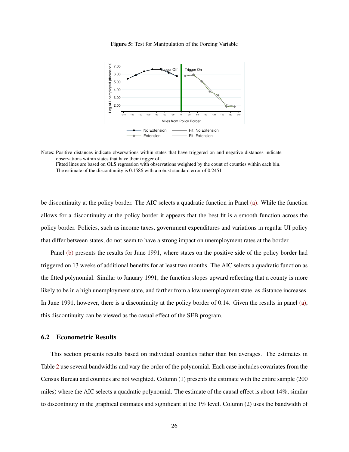<span id="page-25-0"></span>

Figure 5: Test for Manipulation of the Forcing Variable

be discontinuity at the policy border. The AIC selects a quadratic function in Panel [\(a\).](#page-26-1) While the function allows for a discontinuity at the policy border it appears that the best fit is a smooth function across the policy border. Policies, such as income taxes, government expenditures and variations in regular UI policy that differ between states, do not seem to have a strong impact on unemployment rates at the border.

Panel [\(b\)](#page-26-2) presents the results for June 1991, where states on the positive side of the policy border had triggered on 13 weeks of additional benefits for at least two months. The AIC selects a quadratic function as the fitted polynomial. Similar to January 1991, the function slopes upward reflecting that a county is more likely to be in a high unemployment state, and farther from a low unemployment state, as distance increases. In June 1991, however, there is a discontinuity at the policy border of 0.14. Given the results in panel [\(a\),](#page-26-1) this discontinuity can be viewed as the casual effect of the SEB program.

#### 6.2 Econometric Results

This section presents results based on individual counties rather than bin averages. The estimates in Table [2](#page-27-0) use several bandwidths and vary the order of the polynomial. Each case includes covariates from the Census Bureau and counties are not weighted. Column (1) presents the estimate with the entire sample (200 miles) where the AIC selects a quadratic polynomial. The estimate of the causal effect is about 14%, similar to discontniuty in the graphical estimates and significant at the 1% level. Column (2) uses the bandwidth of

Notes: Positive distances indicate observations within states that have triggered on and negative distances indicate observations within states that have their trigger off. Fitted lines are based on OLS regression with observations weighted by the count of counties within each bin. The estimate of the discontinuity is 0.1586 with a robust standard error of 0.2451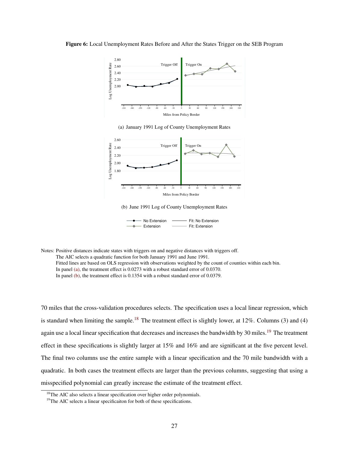<span id="page-26-1"></span><span id="page-26-0"></span>

(a) January 1991 Log of County Unemployment Rates

<span id="page-26-2"></span>

(b) June 1991 Log of County Unemployment Rates

| — No Extension | Fit: No Extension |
|----------------|-------------------|
| → Extension    | Fit: Extension    |

Notes: Positive distances indicate states with triggers on and negative distances with triggers off. The AIC selects a quadratic function for both January 1991 and June 1991. Fitted lines are based on OLS regression with observations weighted by the count of counties within each bin. In panel [\(a\),](#page-26-1) the treatment effect is 0.0273 with a robust standard error of 0.0370. In panel [\(b\),](#page-26-2) the treatment effect is 0.1354 with a robust standard error of 0.0379.

70 miles that the cross-validation procedures selects. The specification uses a local linear regression, which is standard when limiting the sample.<sup>[18](#page-26-3)</sup> The treatment effect is slightly lower, at  $12\%$ . Columns (3) and (4) again use a local linear specification that decreases and increases the bandwidth by 30 miles.<sup>[19](#page-26-4)</sup> The treatment effect in these specifications is slightly larger at 15% and 16% and are significant at the five percent level. The final two columns use the entire sample with a linear specification and the 70 mile bandwidth with a quadratic. In both cases the treatment effects are larger than the previous columns, suggesting that using a misspecified polynomial can greatly increase the estimate of the treatment effect.

<span id="page-26-3"></span><sup>&</sup>lt;sup>18</sup>The AIC also selects a linear specification over higher order polynomials.

<span id="page-26-4"></span> $19$ The AIC selects a linear specificaiton for both of these specifications.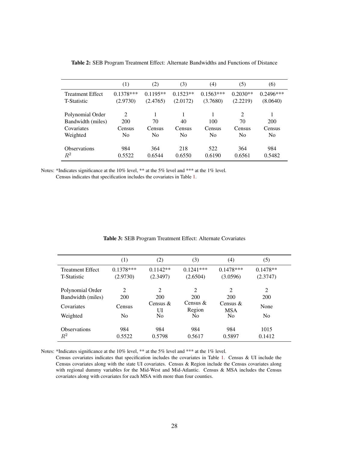<span id="page-27-0"></span>

|                         | (1)            | (2)            | (3)            | (4)            | (5)            | (6)            |
|-------------------------|----------------|----------------|----------------|----------------|----------------|----------------|
| <b>Treatment Effect</b> | $0.1378***$    | $0.1195**$     | $0.1523**$     | $0.1563***$    | $0.2030**$     | $0.2496***$    |
| <b>T-Statistic</b>      | (2.9730)       | (2.4765)       | (2.0172)       | (3.7680)       | (2.2219)       | (8.0640)       |
|                         |                |                |                |                |                |                |
| Polynomial Order        | 2              |                |                |                | 2              |                |
| Bandwidth (miles)       | 200            | 70             | 40             | 100            | 70             | 200            |
| Covariates              | Census         | Census         | Census         | Census         | Census         | Census         |
| Weighted                | N <sub>0</sub> | N <sub>0</sub> | N <sub>0</sub> | N <sub>0</sub> | N <sub>0</sub> | N <sub>0</sub> |
| <b>Observations</b>     | 984            | 364            | 218            | 522            | 364            | 984            |
| $\mathbb{R}^2$          | 0.5522         | 0.6544         | 0.6550         | 0.6190         | 0.6561         | 0.5482         |

Table 2: SEB Program Treatment Effect: Alternate Bandwidths and Functions of Distance

Notes: \*Indicates significance at the 10% level, \*\* at the 5% level and \*\*\* at the 1% level. Census indicates that specification includes the covariates in Table [1.](#page-22-0)

<span id="page-27-1"></span>

|                                               | $\left(1\right)$        | (2)                                | (3)                     | (4)                      | (5)                    |
|-----------------------------------------------|-------------------------|------------------------------------|-------------------------|--------------------------|------------------------|
| <b>Treatment Effect</b><br><b>T-Statistic</b> | $0.1378***$<br>(2.9730) | $0.1142**$<br>(2.3497)             | $0.1241***$<br>(2.6504) | $0.1478***$<br>(3.0596)  | $0.1478**$<br>(2.3747) |
| Polynomial Order<br>Bandwidth (miles)         | 2<br>200                | $\mathcal{D}_{\mathcal{L}}$<br>200 | 2<br>200                | 2<br>200                 | 2<br>200               |
| Covariates                                    | Census                  | Census $\&$<br>UI                  | Census $\&$<br>Region   | Census $&$<br><b>MSA</b> | None                   |
| Weighted                                      | N <sub>0</sub>          | N <sub>0</sub>                     | N <sub>0</sub>          | N <sub>0</sub>           | N <sub>0</sub>         |
| <b>Observations</b>                           | 984                     | 984                                | 984                     | 984                      | 1015                   |
| $R^2$                                         | 0.5522                  | 0.5798                             | 0.5617                  | 0.5897                   | 0.1412                 |

#### Table 3: SEB Program Treatment Effect: Alternate Covariates

Notes: \*Indicates significance at the 10% level, \*\* at the 5% level and \*\*\* at the 1% level.

Census covariates indicates that specification includes the covariates in Table [1.](#page-22-0) Census & UI include the Census covariates along with the state UI covariates. Census & Region include the Census covariates along with regional dummy variables for the Mid-West and Mid-Atlantic. Census & MSA includes the Census covariates along with covariates for each MSA with more than four counties.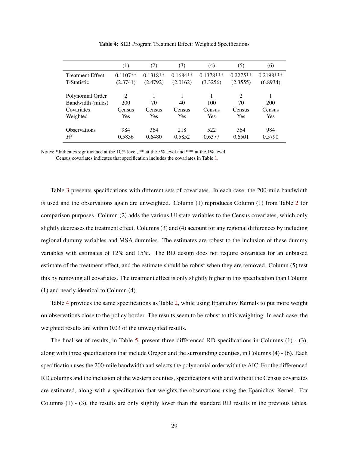<span id="page-28-0"></span>

|                         | (1)        | (2)        | (3)        | (4)         | (5)        | (6)         |
|-------------------------|------------|------------|------------|-------------|------------|-------------|
| <b>Treatment Effect</b> | $0.1107**$ | $0.1318**$ | $0.1684**$ | $0.1378***$ | $0.2275**$ | $0.2198***$ |
| T-Statistic             | (2.3741)   | (2.4792)   | (2.0162)   | (3.3256)    | (2.3555)   | (6.8934)    |
| Polynomial Order        | 2          |            | 1          |             | 2          |             |
| Bandwidth (miles)       | 200        | 70         | 40         | 100         | 70         | 200         |
| Covariates              | Census     | Census     | Census     | Census      | Census     | Census      |
| Weighted                | Yes        | Yes        | Yes        | <b>Yes</b>  | Yes        | Yes         |
| <b>Observations</b>     | 984        | 364        | 218        | 522         | 364        | 984         |
| $\,R^2$                 | 0.5836     | 0.6480     | 0.5852     | 0.6377      | 0.6501     | 0.5790      |

Table 4: SEB Program Treatment Effect: Weighted Specifications

Notes: \*Indicates significance at the 10% level, \*\* at the 5% level and \*\*\* at the 1% level. Census covariates indicates that specification includes the covariates in Table [1.](#page-22-0)

Table [3](#page-27-1) presents specifications with different sets of covariates. In each case, the 200-mile bandwidth is used and the observations again are unweighted. Column (1) reproduces Column (1) from Table [2](#page-27-0) for comparison purposes. Column (2) adds the various UI state variables to the Census covariates, which only slightly decreases the treatment effect. Columns (3) and (4) account for any regional differences by including regional dummy variables and MSA dummies. The estimates are robust to the inclusion of these dummy variables with estimates of 12% and 15%. The RD design does not require covariates for an unbiased estimate of the treatment effect, and the estimate should be robust when they are removed. Column (5) test this by removing all covariates. The treatment effect is only slightly higher in this specification than Column (1) and nearly identical to Column (4).

Table [4](#page-28-0) provides the same specifications as Table [2,](#page-27-0) while using Epanichov Kernels to put more weight on observations close to the policy border. The results seem to be robust to this weighting. In each case, the weighted results are within 0.03 of the unweighted results.

The final set of results, in Table [5,](#page-29-0) present three differenced RD specifications in Columns (1) - (3), along with three specifications that include Oregon and the surrounding counties, in Columns (4) - (6). Each specification uses the 200-mile bandwidth and selects the polynomial order with the AIC. For the differenced RD columns and the inclusion of the western counties, specifications with and without the Census covariates are estimated, along with a specification that weights the observations using the Epanichov Kernel. For Columns (1) - (3), the results are only slightly lower than the standard RD results in the previous tables.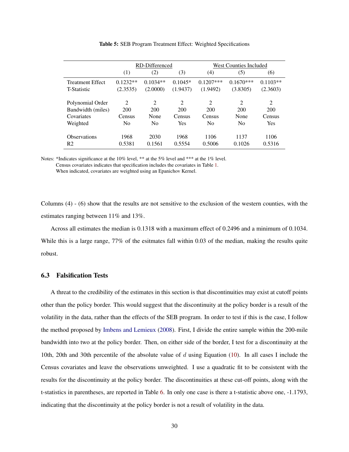<span id="page-29-0"></span>

|                                       | RD-Differenced              |                             |                | <b>West Counties Included</b> |                |                |
|---------------------------------------|-----------------------------|-----------------------------|----------------|-------------------------------|----------------|----------------|
|                                       | (1)                         | (2)                         | (3)            | (4)                           | (5)            | (6)            |
| <b>Treatment Effect</b>               | $0.1232**$                  | $0.1034**$                  | $0.1045*$      | $0.1207$ ***                  | $0.1670***$    | $0.1103**$     |
| <b>T-Statistic</b>                    | (2.3535)                    | (2.0000)                    | (1.9437)       | (1.9492)                      | (3.8305)       | (2.3603)       |
| Polynomial Order                      | $\mathcal{D}_{\mathcal{L}}$ | $\mathcal{D}_{\mathcal{L}}$ | $\overline{2}$ | 2                             | $\mathfrak{D}$ | 2              |
| Bandwidth (miles)                     | 200                         | 200                         | 200            | 200                           | 200            | 200            |
| Covariates                            | Census                      | None                        | Census         | Census                        | None           | Census         |
| Weighted                              | N <sub>0</sub>              | N <sub>0</sub>              | Yes            | N <sub>0</sub>                | N <sub>0</sub> | <b>Yes</b>     |
| <b>Observations</b><br>R <sub>2</sub> | 1968<br>0.5381              | 2030<br>0.1561              | 1968<br>0.5554 | 1106<br>0.5006                | 1137<br>0.1026 | 1106<br>0.5316 |

Table 5: SEB Program Treatment Effect: Weighted Specifications

Notes: \*Indicates significance at the 10% level, \*\* at the 5% level and \*\*\* at the 1% level. Census covariates indicates that specification includes the covariates in Table [1.](#page-22-0) When indicated, covariates are weighted using an Epanichov Kernel.

Columns (4) - (6) show that the results are not sensitive to the exclusion of the western counties, with the estimates ranging between 11% and 13%.

Across all estimates the median is 0.1318 with a maximum effect of 0.2496 and a minimum of 0.1034. While this is a large range, 77% of the esitmates fall within 0.03 of the median, making the results quite robust.

## 6.3 Falsification Tests

A threat to the credibility of the estimates in this section is that discontinuities may exist at cutoff points other than the policy border. This would suggest that the discontinuity at the policy border is a result of the volatility in the data, rather than the effects of the SEB program. In order to test if this is the case, I follow the method proposed by [Imbens and Lemieux](#page-34-10) [\(2008\)](#page-34-10). First, I divide the entire sample within the 200-mile bandwidth into two at the policy border. Then, on either side of the border, I test for a discontinuity at the 10th, 20th and 30th percentile of the absolute value of d using Equation [\(10\)](#page-18-0). In all cases I include the Census covariates and leave the observations unweighted. I use a quadratic fit to be consistent with the results for the discontinuity at the policy border. The discontinuities at these cut-off points, along with the t-statistics in parentheses, are reported in Table [6.](#page-30-1) In only one case is there a t-statistic above one, -1.1793, indicating that the discontinuity at the policy border is not a result of volatility in the data.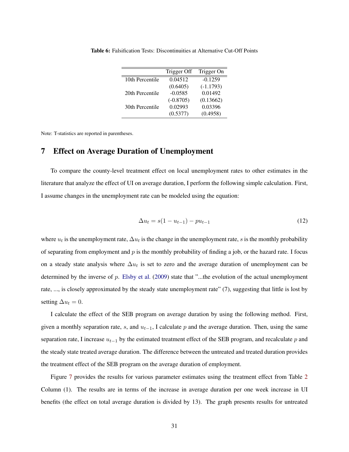|                 | Trigger Off | Trigger On  |
|-----------------|-------------|-------------|
| 10th Percentile | 0.04512     | $-0.1259$   |
|                 | (0.6405)    | $(-1.1793)$ |
| 20th Percentile | $-0.0585$   | 0.01492     |
|                 | $(-0.8705)$ | (0.13662)   |
| 30th Percentile | 0.02993     | 0.03396     |
|                 | (0.5377)    | (0.4958)    |

<span id="page-30-1"></span>Table 6: Falsification Tests: Discontinuities at Alternative Cut-Off Points

Note: T-statistics are reported in parentheses.

# <span id="page-30-0"></span>7 Effect on Average Duration of Unemployment

To compare the county-level treatment effect on local unemployment rates to other estimates in the literature that analyze the effect of UI on average duration, I perform the following simple calculation. First, I assume changes in the unemployment rate can be modeled using the equation:

$$
\Delta u_t = s(1 - u_{t-1}) - p u_{t-1} \tag{12}
$$

where  $u_t$  is the unemployment rate,  $\Delta u_t$  is the change in the unemployment rate, s is the monthly probability of separating from employment and  $p$  is the monthly probability of finding a job, or the hazard rate. I focus on a steady state analysis where  $\Delta u_t$  is set to zero and the average duration of unemployment can be determined by the inverse of  $p$ . [Elsby et al.](#page-34-11) [\(2009\)](#page-34-11) state that "...the evolution of the actual unemployment rate, ..., is closely approximated by the steady state unemployment rate" (7), suggesting that little is lost by setting  $\Delta u_t = 0$ .

I calculate the effect of the SEB program on average duration by using the following method. First, given a monthly separation rate, s, and  $u_{t-1}$ , I calculate p and the average duration. Then, using the same separation rate, I increase  $u_{t-1}$  by the estimated treatment effect of the SEB program, and recalculate p and the steady state treated average duration. The difference between the untreated and treated duration provides the treatment effect of the SEB program on the average duration of employment.

Figure [7](#page-31-0) provides the results for various parameter estimates using the treatment effect from Table [2](#page-27-0) Column (1). The results are in terms of the increase in average duration per one week increase in UI benefits (the effect on total average duration is divided by 13). The graph presents results for untreated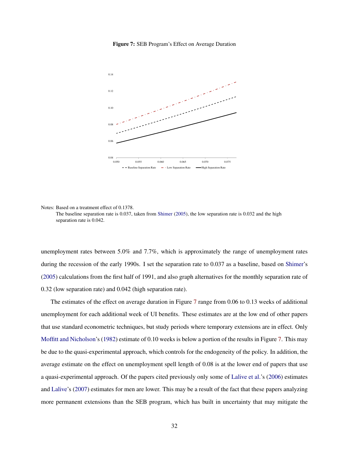<span id="page-31-0"></span>

Figure 7: SEB Program's Effect on Average Duration

Notes: Based on a treatment effect of 0.1378.

The baseline separation rate is 0.037, taken from [Shimer](#page-36-11) [\(2005\)](#page-36-11), the low separation rate is 0.032 and the high separation rate is 0.042.

unemployment rates between 5.0% and 7.7%, which is approximately the range of unemployment rates during the recession of the early 1990s. I set the separation rate to 0.037 as a baseline, based on [Shimer'](#page-36-11)s [\(2005\)](#page-36-11) calculations from the first half of 1991, and also graph alternatives for the monthly separation rate of 0.32 (low separation rate) and 0.042 (high separation rate).

The estimates of the effect on average duration in Figure [7](#page-31-0) range from 0.06 to 0.13 weeks of additional unemployment for each additional week of UI benefits. These estimates are at the low end of other papers that use standard econometric techniques, but study periods where temporary extensions are in effect. Only [Moffitt and Nicholson'](#page-35-2)s [\(1982\)](#page-35-2) estimate of 0.10 weeks is below a portion of the results in Figure [7.](#page-31-0) This may be due to the quasi-experimental approach, which controls for the endogeneity of the policy. In addition, the average estimate on the effect on unemployment spell length of 0.08 is at the lower end of papers that use a quasi-experimental approach. Of the papers cited previously only some of [Lalive et al.'](#page-35-5)s [\(2006\)](#page-35-5) estimates and [Lalive'](#page-35-6)s [\(2007\)](#page-35-6) estimates for men are lower. This may be a result of the fact that these papers analyzing more permanent extensions than the SEB program, which has built in uncertainty that may mitigate the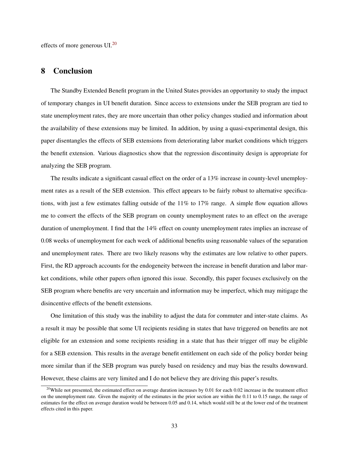effects of more generous UI.[20](#page-32-1)

## <span id="page-32-0"></span>8 Conclusion

The Standby Extended Benefit program in the United States provides an opportunity to study the impact of temporary changes in UI benefit duration. Since access to extensions under the SEB program are tied to state unemployment rates, they are more uncertain than other policy changes studied and information about the availability of these extensions may be limited. In addition, by using a quasi-experimental design, this paper disentangles the effects of SEB extensions from deteriorating labor market conditions which triggers the benefit extension. Various diagnostics show that the regression discontinuity design is appropriate for analyzing the SEB program.

The results indicate a significant casual effect on the order of a 13% increase in county-level unemployment rates as a result of the SEB extension. This effect appears to be fairly robust to alternative specifications, with just a few estimates falling outside of the 11% to 17% range. A simple flow equation allows me to convert the effects of the SEB program on county unemployment rates to an effect on the average duration of unemployment. I find that the 14% effect on county unemployment rates implies an increase of 0.08 weeks of unemployment for each week of additional benefits using reasonable values of the separation and unemployment rates. There are two likely reasons why the estimates are low relative to other papers. First, the RD approach accounts for the endogeneity between the increase in benefit duration and labor market conditions, while other papers often ignored this issue. Secondly, this paper focuses exclusively on the SEB program where benefits are very uncertain and information may be imperfect, which may mitigage the disincentive effects of the benefit extensions.

One limitation of this study was the inability to adjust the data for commuter and inter-state claims. As a result it may be possible that some UI recipients residing in states that have triggered on benefits are not eligible for an extension and some recipients residing in a state that has their trigger off may be eligible for a SEB extension. This results in the average benefit entitlement on each side of the policy border being more similar than if the SEB program was purely based on residency and may bias the results downward. However, these claims are very limited and I do not believe they are driving this paper's results.

<span id="page-32-1"></span><sup>&</sup>lt;sup>20</sup>While not presented, the estimated effect on average duration increases by 0.01 for each 0.02 increase in the treatment effect on the unemployment rate. Given the majority of the estimates in the prior section are within the 0.11 to 0.15 range, the range of estimates for the effect on average duration would be between 0.05 and 0.14, which would still be at the lower end of the treatment effects cited in this paper.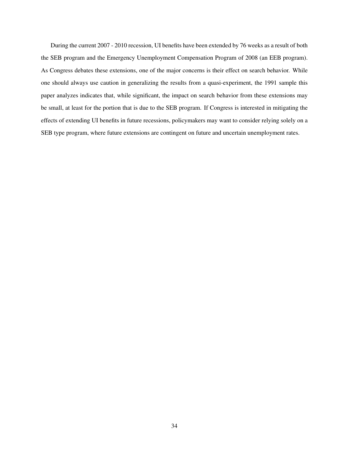During the current 2007 - 2010 recession, UI benefits have been extended by 76 weeks as a result of both the SEB program and the Emergency Unemployment Compensation Program of 2008 (an EEB program). As Congress debates these extensions, one of the major concerns is their effect on search behavior. While one should always use caution in generalizing the results from a quasi-experiment, the 1991 sample this paper analyzes indicates that, while significant, the impact on search behavior from these extensions may be small, at least for the portion that is due to the SEB program. If Congress is interested in mitigating the effects of extending UI benefits in future recessions, policymakers may want to consider relying solely on a SEB type program, where future extensions are contingent on future and uncertain unemployment rates.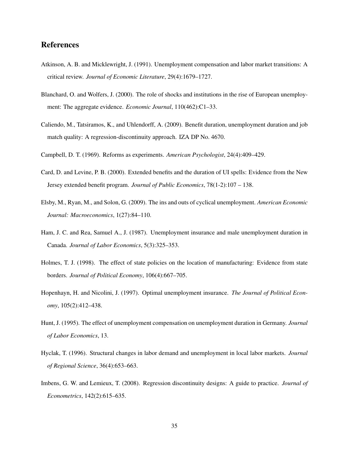# References

- <span id="page-34-4"></span>Atkinson, A. B. and Micklewright, J. (1991). Unemployment compensation and labor market transitions: A critical review. *Journal of Economic Literature*, 29(4):1679–1727.
- <span id="page-34-0"></span>Blanchard, O. and Wolfers, J. (2000). The role of shocks and institutions in the rise of European unemployment: The aggregate evidence. *Economic Journal*, 110(462):C1–33.
- <span id="page-34-2"></span>Caliendo, M., Tatsiramos, K., and Uhlendorff, A. (2009). Benefit duration, unemployment duration and job match quality: A regression-discontinuity approach. IZA DP No. 4670.
- <span id="page-34-9"></span>Campbell, D. T. (1969). Reforms as experiments. *American Psychologist*, 24(4):409–429.
- <span id="page-34-1"></span>Card, D. and Levine, P. B. (2000). Extended benefits and the duration of UI spells: Evidence from the New Jersey extended benefit program. *Journal of Public Economics*, 78(1-2):107 – 138.
- <span id="page-34-11"></span>Elsby, M., Ryan, M., and Solon, G. (2009). The ins and outs of cyclical unemployment. *American Economic Journal: Macroeconomics*, 1(27):84–110.
- <span id="page-34-6"></span>Ham, J. C. and Rea, Samuel A., J. (1987). Unemployment insurance and male unemployment duration in Canada. *Journal of Labor Economics*, 5(3):325–353.
- <span id="page-34-3"></span>Holmes, T. J. (1998). The effect of state policies on the location of manufacturing: Evidence from state borders. *Journal of Political Economy*, 106(4):667–705.
- <span id="page-34-5"></span>Hopenhayn, H. and Nicolini, J. (1997). Optimal unemployment insurance. *The Journal of Political Economy*, 105(2):412–438.
- <span id="page-34-7"></span>Hunt, J. (1995). The effect of unemployment compensation on unemployment duration in Germany. *Journal of Labor Economics*, 13.
- <span id="page-34-8"></span>Hyclak, T. (1996). Structural changes in labor demand and unemployment in local labor markets. *Journal of Regional Science*, 36(4):653–663.
- <span id="page-34-10"></span>Imbens, G. W. and Lemieux, T. (2008). Regression discontinuity designs: A guide to practice. *Journal of Econometrics*, 142(2):615–635.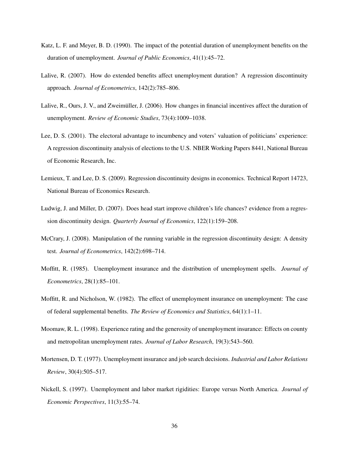- <span id="page-35-4"></span>Katz, L. F. and Meyer, B. D. (1990). The impact of the potential duration of unemployment benefits on the duration of unemployment. *Journal of Public Economics*, 41(1):45–72.
- <span id="page-35-6"></span>Lalive, R. (2007). How do extended benefits affect unemployment duration? A regression discontinuity approach. *Journal of Econometrics*, 142(2):785–806.
- <span id="page-35-5"></span>Lalive, R., Ours, J. V., and Zweimüller, J. (2006). How changes in financial incentives affect the duration of unemployment. *Review of Economic Studies*, 73(4):1009–1038.
- <span id="page-35-8"></span>Lee, D. S. (2001). The electoral advantage to incumbency and voters' valuation of politicians' experience: A regression discontinuity analysis of elections to the U.S. NBER Working Papers 8441, National Bureau of Economic Research, Inc.
- <span id="page-35-9"></span>Lemieux, T. and Lee, D. S. (2009). Regression discontinuity designs in economics. Technical Report 14723, National Bureau of Economics Research.
- <span id="page-35-10"></span>Ludwig, J. and Miller, D. (2007). Does head start improve children's life chances? evidence from a regression discontinuity design. *Quarterly Journal of Economics*, 122(1):159–208.
- <span id="page-35-11"></span>McCrary, J. (2008). Manipulation of the running variable in the regression discontinuity design: A density test. *Journal of Econometrics*, 142(2):698–714.
- <span id="page-35-3"></span>Moffitt, R. (1985). Unemployment insurance and the distribution of unemployment spells. *Journal of Econometrics*, 28(1):85–101.
- <span id="page-35-2"></span>Moffitt, R. and Nicholson, W. (1982). The effect of unemployment insurance on unemployment: The case of federal supplemental benefits. *The Review of Economics and Statistics*, 64(1):1–11.
- <span id="page-35-7"></span>Moomaw, R. L. (1998). Experience rating and the generosity of unemployment insurance: Effects on county and metropolitan unemployment rates. *Journal of Labor Research*, 19(3):543–560.
- <span id="page-35-1"></span>Mortensen, D. T. (1977). Unemployment insurance and job search decisions. *Industrial and Labor Relations Review*, 30(4):505–517.
- <span id="page-35-0"></span>Nickell, S. (1997). Unemployment and labor market rigidities: Europe versus North America. *Journal of Economic Perspectives*, 11(3):55–74.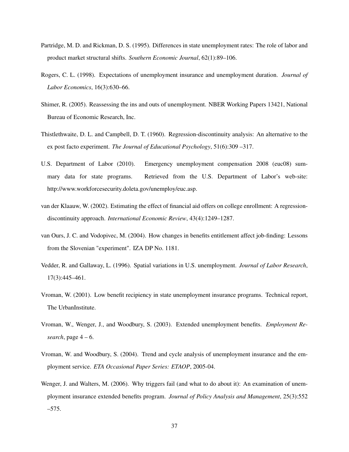- <span id="page-36-7"></span>Partridge, M. D. and Rickman, D. S. (1995). Differences in state unemployment rates: The role of labor and product market structural shifts. *Southern Economic Journal*, 62(1):89–106.
- <span id="page-36-5"></span>Rogers, C. L. (1998). Expectations of unemployment insurance and unemployment duration. *Journal of Labor Economics*, 16(3):630–66.
- <span id="page-36-11"></span>Shimer, R. (2005). Reassessing the ins and outs of unemployment. NBER Working Papers 13421, National Bureau of Economic Research, Inc.
- <span id="page-36-9"></span>Thistlethwaite, D. L. and Campbell, D. T. (1960). Regression-discontinuity analysis: An alternative to the ex post facto experiment. *The Journal of Educational Psychology*, 51(6):309 –317.
- <span id="page-36-0"></span>U.S. Department of Labor (2010). Emergency unemployment compensation 2008 (euc08) summary data for state programs. Retrieved from the U.S. Department of Labor's web-site: http://www.workforcesecurity.doleta.gov/unemploy/euc.asp.
- <span id="page-36-10"></span>van der Klaauw, W. (2002). Estimating the effect of financial aid offers on college enrollment: A regressiondiscontinuity approach. *International Economic Review*, 43(4):1249–1287.
- <span id="page-36-6"></span>van Ours, J. C. and Vodopivec, M. (2004). How changes in benefits entitlement affect job-finding: Lessons from the Slovenian "experiment". IZA DP No. 1181.
- <span id="page-36-8"></span>Vedder, R. and Gallaway, L. (1996). Spatial variations in U.S. unemployment. *Journal of Labor Research*, 17(3):445–461.
- <span id="page-36-4"></span>Vroman, W. (2001). Low benefit recipiency in state unemployment insurance programs. Technical report, The UrbanInstitute.
- <span id="page-36-1"></span>Vroman, W., Wenger, J., and Woodbury, S. (2003). Extended unemployment benefits. *Employment Research*, page 4 – 6.
- <span id="page-36-2"></span>Vroman, W. and Woodbury, S. (2004). Trend and cycle analysis of unemployment insurance and the employment service. *ETA Occasional Paper Series: ETAOP*, 2005-04.
- <span id="page-36-3"></span>Wenger, J. and Walters, M. (2006). Why triggers fail (and what to do about it): An examination of unemployment insurance extended benefits program. *Journal of Policy Analysis and Management*, 25(3):552 –575.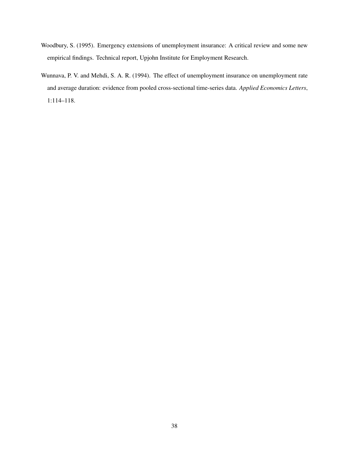- <span id="page-37-0"></span>Woodbury, S. (1995). Emergency extensions of unemployment insurance: A critical review and some new empirical findings. Technical report, Upjohn Institute for Employment Research.
- <span id="page-37-1"></span>Wunnava, P. V. and Mehdi, S. A. R. (1994). The effect of unemployment insurance on unemployment rate and average duration: evidence from pooled cross-sectional time-series data. *Applied Economics Letters*, 1:114–118.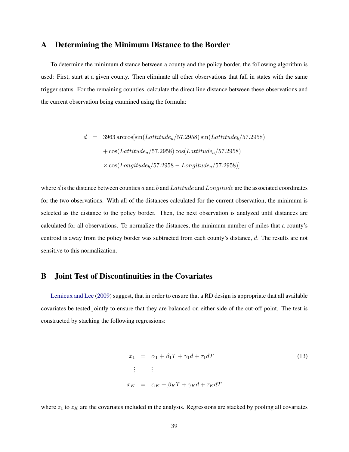# <span id="page-38-0"></span>A Determining the Minimum Distance to the Border

To determine the minimum distance between a county and the policy border, the following algorithm is used: First, start at a given county. Then eliminate all other observations that fall in states with the same trigger status. For the remaining counties, calculate the direct line distance between these observations and the current observation being examined using the formula:

$$
d = 3963 \arccos[\sin(Lattitude_a/57.2958) \sin(Lattitude_b/57.2958) + \cos(Lattitude_a/57.2958) \cos(Lattitude_a/57.2958) \times \cos(Longitude_b/57.2958 - Longitude_a/57.2958)]
$$

where d is the distance between counties a and b and Latitude and Longitude are the associated coordinates for the two observations. With all of the distances calculated for the current observation, the minimum is selected as the distance to the policy border. Then, the next observation is analyzed until distances are calculated for all observations. To normalize the distances, the minimum number of miles that a county's centroid is away from the policy border was subtracted from each county's distance, d. The results are not sensitive to this normalization.

## <span id="page-38-1"></span>B Joint Test of Discontinuities in the Covariates

[Lemieux and Lee](#page-35-9) [\(2009\)](#page-35-9) suggest, that in order to ensure that a RD design is appropriate that all available covariates be tested jointly to ensure that they are balanced on either side of the cut-off point. The test is constructed by stacking the following regressions:

<span id="page-38-2"></span>
$$
x_1 = \alpha_1 + \beta_1 T + \gamma_1 d + \tau_1 dT
$$
  
\n
$$
\vdots \qquad \vdots
$$
  
\n
$$
x_K = \alpha_K + \beta_K T + \gamma_K d + \tau_K dT
$$
\n(13)

where  $z_1$  to  $z<sub>K</sub>$  are the covariates included in the analysis. Regressions are stacked by pooling all covariates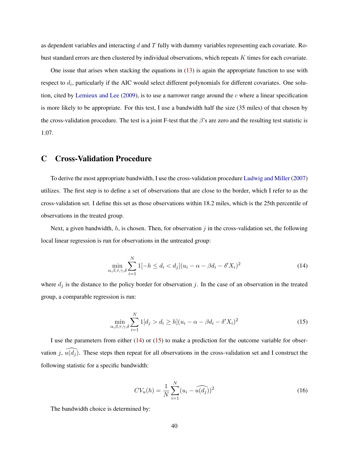as dependent variables and interacting  $d$  and  $T$  fully with dummy variables representing each covariate. Robust standard errors are then clustered by individual observations, which repeats K times for each covariate.

One issue that arises when stacking the equations in [\(13\)](#page-38-2) is again the appropriate function to use with respect to  $d_i$ , particularly if the AIC would select different polynomials for different covariates. One solution, cited by [Lemieux and Lee](#page-35-9) [\(2009\)](#page-35-9), is to use a narrower range around the c where a linear specification is more likely to be appropriate. For this test, I use a bandwidth half the size (35 miles) of that chosen by the cross-validation procedure. The test is a joint F-test that the  $\beta$ 's are zero and the resulting test statistic is 1.07.

## <span id="page-39-0"></span>C Cross-Validation Procedure

To derive the most appropriate bandwidth, I use the cross-validation procedure [Ludwig and Miller](#page-35-10) [\(2007\)](#page-35-10) utilizes. The first step is to define a set of observations that are close to the border, which I refer to as the cross-validation set. I define this set as those observations within 18.2 miles, which is the 25th percentile of observations in the treated group.

<span id="page-39-1"></span>Next, a given bandwidth,  $h$ , is chosen. Then, for observation j in the cross-validation set, the following local linear regression is run for observations in the untreated group:

$$
\min_{\alpha,\beta,\tau,\gamma,\delta} \sum_{i=1}^{N} 1[-h \le d_i < d_j](u_i - \alpha - \beta d_i - \delta' X_i)^2 \tag{14}
$$

<span id="page-39-2"></span>where  $d_i$  is the distance to the policy border for observation j. In the case of an observation in the treated group, a comparable regression is run:

$$
\min_{\alpha,\beta,\tau,\gamma,\delta} \sum_{i=1}^{N} 1[d_j > d_i \ge h](u_i - \alpha - \beta d_i - \delta' X_i)^2
$$
\n(15)

I use the parameters from either  $(14)$  or  $(15)$  to make a prediction for the outcome variable for observation j,  $\widehat{u(d_i)}$ . These steps then repeat for all observations in the cross-validation set and I construct the following statistic for a specific bandwidth:

$$
CV_u(h) = \frac{1}{N} \sum_{i=1}^{N} (u_i - \widehat{u(d_j)})^2
$$
\n(16)

The bandwidth choice is determined by: